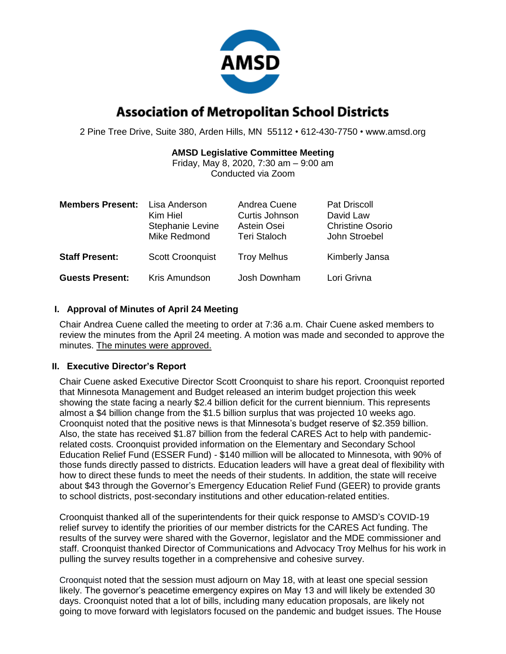

# **Association of Metropolitan School Districts**

2 Pine Tree Drive, Suite 380, Arden Hills, MN 55112 • 612-430-7750 • www.amsd.org

## **AMSD Legislative Committee Meeting**

Friday, May 8, 2020, 7:30 am – 9:00 am Conducted via Zoom

| <b>Members Present:</b> | Lisa Anderson<br>Kim Hiel<br>Stephanie Levine<br>Mike Redmond | Andrea Cuene<br>Curtis Johnson<br>Astein Osei<br><b>Teri Staloch</b> | <b>Pat Driscoll</b><br>David Law<br><b>Christine Osorio</b><br>John Stroebel |
|-------------------------|---------------------------------------------------------------|----------------------------------------------------------------------|------------------------------------------------------------------------------|
| <b>Staff Present:</b>   | <b>Scott Croonquist</b>                                       | <b>Troy Melhus</b>                                                   | Kimberly Jansa                                                               |
| <b>Guests Present:</b>  | Kris Amundson                                                 | Josh Downham                                                         | Lori Grivna                                                                  |

## **I. Approval of Minutes of April 24 Meeting**

Chair Andrea Cuene called the meeting to order at 7:36 a.m. Chair Cuene asked members to review the minutes from the April 24 meeting. A motion was made and seconded to approve the minutes. The minutes were approved.

### **II. Executive Director's Report**

Chair Cuene asked Executive Director Scott Croonquist to share his report. Croonquist reported that Minnesota Management and Budget released an interim budget projection this week showing the state facing a nearly \$2.4 billion deficit for the current biennium. This represents almost a \$4 billion change from the \$1.5 billion surplus that was projected 10 weeks ago. Croonquist noted that the positive news is that Minnesota's budget reserve of \$2.359 billion. Also, the state has received \$1.87 billion from the federal CARES Act to help with pandemicrelated costs. Croonquist provided information on the Elementary and Secondary School Education Relief Fund (ESSER Fund) - \$140 million will be allocated to Minnesota, with 90% of those funds directly passed to districts. Education leaders will have a great deal of flexibility with how to direct these funds to meet the needs of their students. In addition, the state will receive about \$43 through the Governor's Emergency Education Relief Fund (GEER) to provide grants to school districts, post-secondary institutions and other education-related entities.

Croonquist thanked all of the superintendents for their quick response to AMSD's COVID-19 relief survey to identify the priorities of our member districts for the CARES Act funding. The results of the survey were shared with the Governor, legislator and the MDE commissioner and staff. Croonquist thanked Director of Communications and Advocacy Troy Melhus for his work in pulling the survey results together in a comprehensive and cohesive survey.

Croonquist noted that the session must adjourn on May 18, with at least one special session likely. The governor's peacetime emergency expires on May 13 and will likely be extended 30 days. Croonquist noted that a lot of bills, including many education proposals, are likely not going to move forward with legislators focused on the pandemic and budget issues. The House